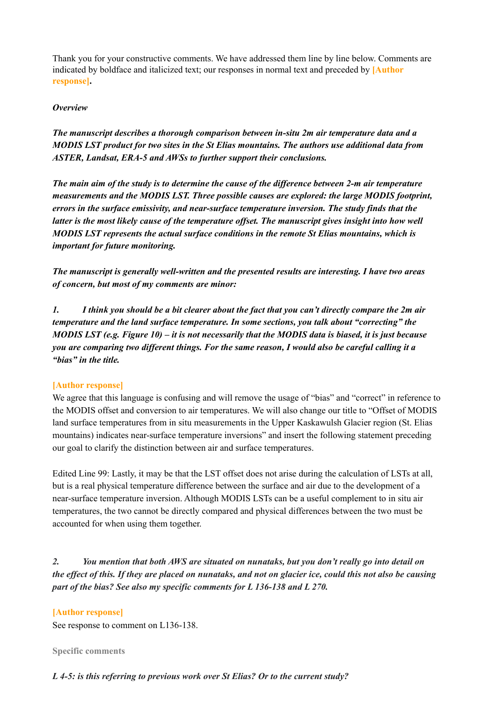Thank you for your constructive comments. We have addressed them line by line below. Comments are indicated by boldface and italicized text; our responses in normal text and preceded by **[Author response].**

#### *Overview*

*The manuscript describes a thorough comparison between in-situ 2m air temperature data and a MODIS LST product for two sites in the St Elias mountains. The authors use additional data from ASTER, Landsat, ERA-5 and AWSs to further support their conclusions.*

The main aim of the study is to determine the cause of the difference between 2-m air temperature *measurements and the MODIS LST. Three possible causes are explored: the large MODIS footprint, errors in the surface emissivity, and near-surface temperature inversion. The study finds that the* latter is the most likely cause of the temperature offset. The manuscript gives insight into how well *MODIS LST represents the actual surface conditions in the remote St Elias mountains, which is important for future monitoring.*

*The manuscript is generally well-written and the presented results are interesting. I have two areas of concern, but most of my comments are minor:*

1. I think you should be a bit clearer about the fact that you can't directly compare the 2m air *temperature and the land surface temperature. In some sections, you talk about "correcting" the* MODIS LST (e.g. Figure 10) – it is not necessarily that the MODIS data is biased, it is just because you are comparing two different things. For the same reason, I would also be careful calling it a *"bias" in the title.*

#### **[Author response]**

We agree that this language is confusing and will remove the usage of "bias" and "correct" in reference to the MODIS offset and conversion to air temperatures. We will also change our title to "Offset of MODIS land surface temperatures from in situ measurements in the Upper Kaskawulsh Glacier region (St. Elias mountains) indicates near-surface temperature inversions" and insert the following statement preceding our goal to clarify the distinction between air and surface temperatures.

Edited Line 99: Lastly, it may be that the LST offset does not arise during the calculation of LSTs at all, but is a real physical temperature difference between the surface and air due to the development of a near-surface temperature inversion. Although MODIS LSTs can be a useful complement to in situ air temperatures, the two cannot be directly compared and physical differences between the two must be accounted for when using them together.

*2. You mention that both AWS are situated on nunataks, but you don't really go into detail on* the effect of this. If they are placed on nunataks, and not on glacier ice, could this not also be causing *part of the bias? See also my specific comments for L 136-138 and L 270.*

#### **[Author response]**

See response to comment on L136-138.

#### **Specific comments**

#### *L 4-5: is this referring to previous work over St Elias? Or to the current study?*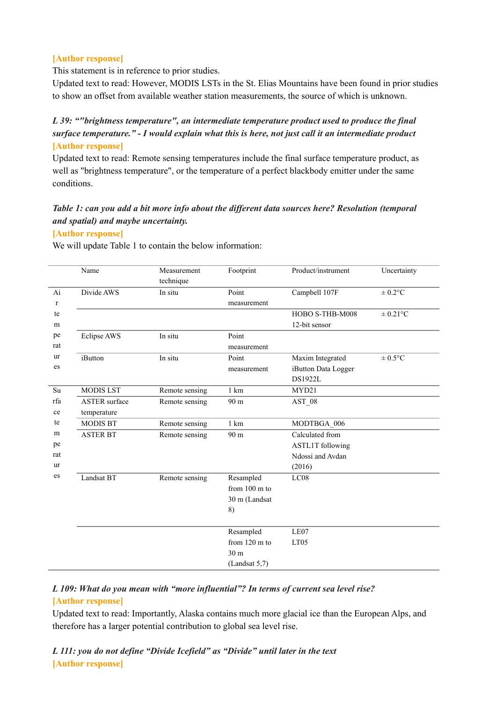#### **[Author response]**

#### This statement is in reference to prior studies.

Updated text to read: However, MODIS LSTs in the St. Elias Mountains have been found in prior studies to show an offset from available weather station measurements, the source of which is unknown.

# *L 39: ""brightness temperature", an intermediate temperature product used to produce the final surface temperature." - I would explain what this is here, not just call it an intermediate product* **[Author response]**

Updated text to read: Remote sensing temperatures include the final surface temperature product, as well as "brightness temperature", or the temperature of a perfect blackbody emitter under the same conditions.

# *Table 1: can you add a bit more info about the dif erent data sources here? Resolution (temporal and spatial) and maybe uncertainty.*

#### **[Author response]**

We will update Table 1 to contain the below information:

| technique<br>Divide AWS<br>Campbell 107F<br>Ai<br>In situ<br>Point<br>$\pm 0.2$ °C<br>measurement<br>r<br>HOBO S-THB-M008<br>$\pm$ 0.21°C<br>te<br>12-bit sensor<br>m<br>Point<br>Eclipse AWS<br>In situ<br>pe<br>rat<br>measurement<br>ur<br>$\pm 0.5$ °C<br>In situ<br>Maxim Integrated<br>iButton<br>Point<br>es<br>iButton Data Logger<br>measurement<br>DS1922L<br><b>MODIS LST</b><br>Su<br>1 km<br>MYD21<br>Remote sensing<br>rfa<br><b>ASTER</b> surface<br>AST 08<br>Remote sensing<br>90 m<br>ce<br>temperature<br>te<br><b>MODIS BT</b><br>1 km<br>Remote sensing<br>MODTBGA 006<br>Calculated from<br>m<br><b>ASTER BT</b><br>90 m<br>Remote sensing<br>pe<br><b>ASTL1T</b> following |  |
|---------------------------------------------------------------------------------------------------------------------------------------------------------------------------------------------------------------------------------------------------------------------------------------------------------------------------------------------------------------------------------------------------------------------------------------------------------------------------------------------------------------------------------------------------------------------------------------------------------------------------------------------------------------------------------------------------|--|
|                                                                                                                                                                                                                                                                                                                                                                                                                                                                                                                                                                                                                                                                                                   |  |
|                                                                                                                                                                                                                                                                                                                                                                                                                                                                                                                                                                                                                                                                                                   |  |
|                                                                                                                                                                                                                                                                                                                                                                                                                                                                                                                                                                                                                                                                                                   |  |
|                                                                                                                                                                                                                                                                                                                                                                                                                                                                                                                                                                                                                                                                                                   |  |
|                                                                                                                                                                                                                                                                                                                                                                                                                                                                                                                                                                                                                                                                                                   |  |
|                                                                                                                                                                                                                                                                                                                                                                                                                                                                                                                                                                                                                                                                                                   |  |
|                                                                                                                                                                                                                                                                                                                                                                                                                                                                                                                                                                                                                                                                                                   |  |
|                                                                                                                                                                                                                                                                                                                                                                                                                                                                                                                                                                                                                                                                                                   |  |
|                                                                                                                                                                                                                                                                                                                                                                                                                                                                                                                                                                                                                                                                                                   |  |
|                                                                                                                                                                                                                                                                                                                                                                                                                                                                                                                                                                                                                                                                                                   |  |
|                                                                                                                                                                                                                                                                                                                                                                                                                                                                                                                                                                                                                                                                                                   |  |
|                                                                                                                                                                                                                                                                                                                                                                                                                                                                                                                                                                                                                                                                                                   |  |
|                                                                                                                                                                                                                                                                                                                                                                                                                                                                                                                                                                                                                                                                                                   |  |
|                                                                                                                                                                                                                                                                                                                                                                                                                                                                                                                                                                                                                                                                                                   |  |
|                                                                                                                                                                                                                                                                                                                                                                                                                                                                                                                                                                                                                                                                                                   |  |
|                                                                                                                                                                                                                                                                                                                                                                                                                                                                                                                                                                                                                                                                                                   |  |
| rat<br>Ndossi and Avdan                                                                                                                                                                                                                                                                                                                                                                                                                                                                                                                                                                                                                                                                           |  |
| ur<br>(2016)                                                                                                                                                                                                                                                                                                                                                                                                                                                                                                                                                                                                                                                                                      |  |
| es<br>LC08<br>Landsat BT<br>Resampled<br>Remote sensing                                                                                                                                                                                                                                                                                                                                                                                                                                                                                                                                                                                                                                           |  |
| from 100 m to                                                                                                                                                                                                                                                                                                                                                                                                                                                                                                                                                                                                                                                                                     |  |
| 30 m (Landsat                                                                                                                                                                                                                                                                                                                                                                                                                                                                                                                                                                                                                                                                                     |  |
| 8)                                                                                                                                                                                                                                                                                                                                                                                                                                                                                                                                                                                                                                                                                                |  |
|                                                                                                                                                                                                                                                                                                                                                                                                                                                                                                                                                                                                                                                                                                   |  |
| LE07<br>Resampled                                                                                                                                                                                                                                                                                                                                                                                                                                                                                                                                                                                                                                                                                 |  |
| from 120 m to<br>LT05                                                                                                                                                                                                                                                                                                                                                                                                                                                                                                                                                                                                                                                                             |  |
| 30 m                                                                                                                                                                                                                                                                                                                                                                                                                                                                                                                                                                                                                                                                                              |  |
| (Landsat 5,7)                                                                                                                                                                                                                                                                                                                                                                                                                                                                                                                                                                                                                                                                                     |  |

## *L 109: What do you mean with "more influential"? In terms of current sea level rise?* **[Author response]**

Updated text to read: Importantly, Alaska contains much more glacial ice than the European Alps, and therefore has a larger potential contribution to global sea level rise.

*L 111: you do not define "Divide Icefield" as "Divide" until later in the text* **[Author response]**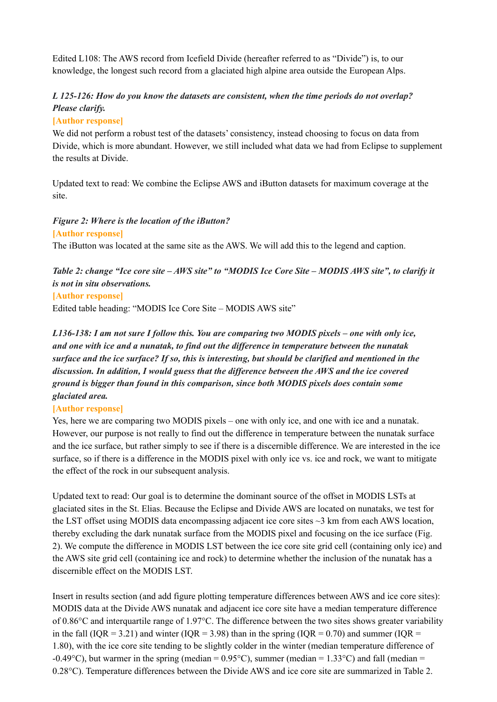Edited L108: The AWS record from Icefield Divide (hereafter referred to as "Divide") is, to our knowledge, the longest such record from a glaciated high alpine area outside the European Alps.

# *L 125-126: How do you know the datasets are consistent, when the time periods do not overlap? Please clarify.*

## **[Author response]**

We did not perform a robust test of the datasets' consistency, instead choosing to focus on data from Divide, which is more abundant. However, we still included what data we had from Eclipse to supplement the results at Divide.

Updated text to read: We combine the Eclipse AWS and iButton datasets for maximum coverage at the site.

## *Figure 2: Where is the location of the iButton?*

**[Author response]** The iButton was located at the same site as the AWS. We will add this to the legend and caption.

# Table 2: change "Ice core site - AWS site" to "MODIS Ice Core Site - MODIS AWS site", to clarify it *is not in situ observations.*

#### **[Author response]**

Edited table heading: "MODIS Ice Core Site – MODIS AWS site"

L136-138: I am not sure I follow this. You are comparing two MODIS pixels – one with only ice, *and one with ice and a nunatak, to find out the dif erence in temperature between the nunatak* surface and the ice surface? If so, this is interesting, but should be clarified and mentioned in the *discussion. In addition, I would guess that the dif erence between the AWS and the ice covered ground is bigger than found in this comparison, since both MODIS pixels does contain some glaciated area.*

#### **[Author response]**

Yes, here we are comparing two MODIS pixels – one with only ice, and one with ice and a nunatak. However, our purpose is not really to find out the difference in temperature between the nunatak surface and the ice surface, but rather simply to see if there is a discernible difference. We are interested in the ice surface, so if there is a difference in the MODIS pixel with only ice vs. ice and rock, we want to mitigate the effect of the rock in our subsequent analysis.

Updated text to read: Our goal is to determine the dominant source of the offset in MODIS LSTs at glaciated sites in the St. Elias. Because the Eclipse and Divide AWS are located on nunataks, we test for the LST offset using MODIS data encompassing adjacent ice core sites  $\sim$ 3 km from each AWS location, thereby excluding the dark nunatak surface from the MODIS pixel and focusing on the ice surface (Fig. 2). We compute the difference in MODIS LST between the ice core site grid cell (containing only ice) and the AWS site grid cell (containing ice and rock) to determine whether the inclusion of the nunatak has a discernible effect on the MODIS LST.

Insert in results section (and add figure plotting temperature differences between AWS and ice core sites): MODIS data at the Divide AWS nunatak and adjacent ice core site have a median temperature difference of 0.86°C and interquartile range of 1.97°C. The difference between the two sites shows greater variability in the fall (IQR = 3.21) and winter (IQR = 3.98) than in the spring (IQR = 0.70) and summer (IQR = 1.80), with the ice core site tending to be slightly colder in the winter (median temperature difference of -0.49 $^{\circ}$ C), but warmer in the spring (median = 0.95 $^{\circ}$ C), summer (median = 1.33 $^{\circ}$ C) and fall (median = 0.28°C). Temperature differences between the Divide AWS and ice core site are summarized in Table 2.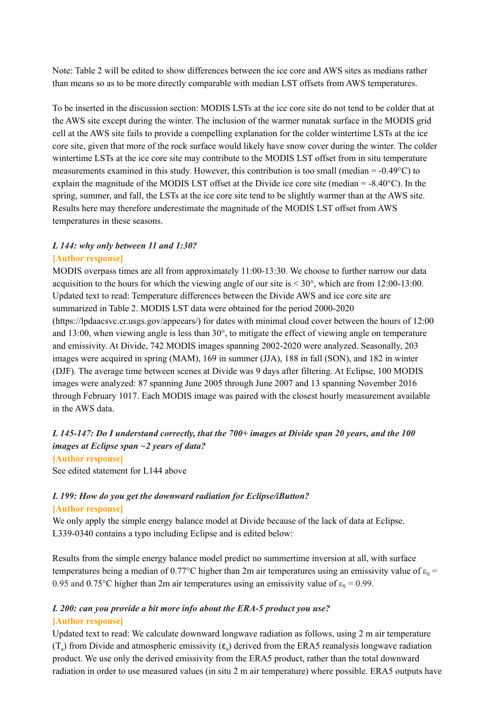Note: Table 2 will be edited to show differences between the ice core and AWS sites as medians rather than means so as to be more directly comparable with median LST offsets from AWS temperatures.

To be inserted in the discussion section: MODIS LSTs at the ice core site do not tend to be colder that at the AWS site except during the winter. The inclusion of the warmer nunatak surface in the MODIS grid cell at the AWS site fails to provide a compelling explanation for the colder wintertime LSTs at the ice core site, given that more of the rock surface would likely have snow cover during the winter. The colder wintertime LSTs at the ice core site may contribute to the MODIS LST offset from in situ temperature measurements examined in this study. However, this contribution is too small (median =  $-0.49^{\circ}$ C) to explain the magnitude of the MODIS LST offset at the Divide ice core site (median =  $-8.40^{\circ}$ C). In the spring, summer, and fall, the LSTs at the ice core site tend to be slightly warmer than at the AWS site. Results here may therefore underestimate the magnitude of the MODIS LST offset from AWS temperatures in these seasons.

# *L 144: why only between 11 and 1:30?*

#### **[Author response]**

MODIS overpass times are all from approximately 11:00-13:30. We choose to further narrow our data acquisition to the hours for which the viewing angle of our site is  $\leq 30^{\circ}$ , which are from 12:00-13:00. Updated text to read: Temperature differences between the Divide AWS and ice core site are summarized in Table 2. MODIS LST data were obtained for the period 2000-2020 (https://lpdaacsvc.cr.usgs.gov/appeears/) for dates with minimal cloud cover between the hours of 12:00 and 13:00, when viewing angle is less than 30°, to mitigate the effect of viewing angle on temperature and emissivity. At Divide, 742 MODIS images spanning 2002-2020 were analyzed. Seasonally, 203 images were acquired in spring (MAM), 169 in summer (JJA), 188 in fall (SON), and 182 in winter (DJF). The average time between scenes at Divide was 9 days after filtering. At Eclipse, 100 MODIS images were analyzed: 87 spanning June 2005 through June 2007 and 13 spanning November 2016 through February 1017. Each MODIS image was paired with the closest hourly measurement available in the AWS data.

## *L 145-147: Do I understand correctly, that the 700+ images at Divide span 20 years, and the 100 images at Eclipse span ~2 years of data?* **[Author response]**

See edited statement for L144 above

# *L 199: How do you get the downward radiation for Eclipse/iButton?*

#### **[Author response]**

We only apply the simple energy balance model at Divide because of the lack of data at Eclipse. L339-0340 contains a typo including Eclipse and is edited below:

Results from the simple energy balance model predict no summertime inversion at all, with surface temperatures being a median of 0.77°C higher than 2m air temperatures using an emissivity value of  $\varepsilon_s$  = 0.95 and 0.75°C higher than 2m air temperatures using an emissivity value of  $\varepsilon_s = 0.99$ .

## *L 200: can you provide a bit more info about the ERA-5 product you use?* **[Author response]**

Updated text to read: We calculate downward longwave radiation as follows, using 2 m air temperature (T<sub>a</sub>) from Divide and atmospheric emissivity  $(\epsilon_a)$  derived from the ERA5 reanalysis longwave radiation product. We use only the derived emissivity from the ERA5 product, rather than the total downward radiation in order to use measured values (in situ 2 m air temperature) where possible. ERA5 outputs have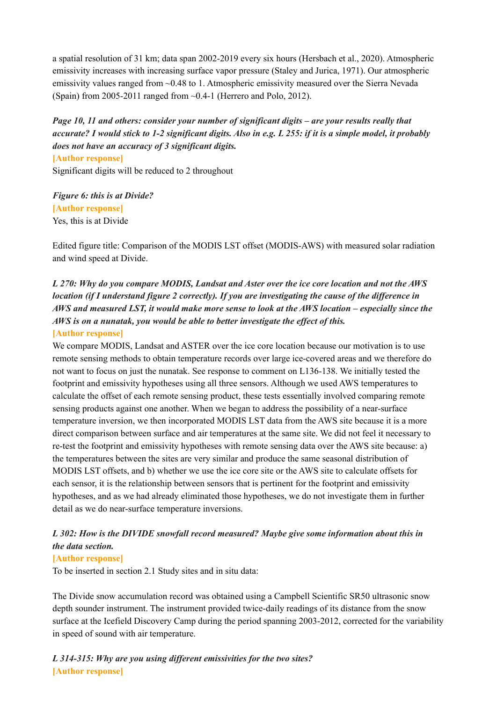a spatial resolution of 31 km; data span 2002-2019 every six hours (Hersbach et al., 2020). Atmospheric emissivity increases with increasing surface vapor pressure (Staley and Jurica, 1971). Our atmospheric emissivity values ranged from ~0.48 to 1. Atmospheric emissivity measured over the Sierra Nevada (Spain) from 2005-2011 ranged from  $\sim 0.4$ -1 (Herrero and Polo, 2012).

*Page 10, 11 and others: consider your number of significant digits – are your results really that* accurate? I would stick to 1-2 significant digits. Also in e.g. L 255: if it is a simple model, it probably *does not have an accuracy of 3 significant digits.*

**[Author response]** Significant digits will be reduced to 2 throughout

*Figure 6: this is at Divide?* **[Author response]** Yes, this is at Divide

Edited figure title: Comparison of the MODIS LST offset (MODIS-AWS) with measured solar radiation and wind speed at Divide.

# L 270: Why do you compare MODIS, Landsat and Aster over the ice core location and not the AWS location (if I understand figure 2 correctly). If you are investigating the cause of the difference in AWS and measured LST, it would make more sense to look at the AWS location – especially since the *AWS is on a nunatak, you would be able to better investigate the ef ect of this.*

#### **[Author response]**

We compare MODIS, Landsat and ASTER over the ice core location because our motivation is to use remote sensing methods to obtain temperature records over large ice-covered areas and we therefore do not want to focus on just the nunatak. See response to comment on L136-138. We initially tested the footprint and emissivity hypotheses using all three sensors. Although we used AWS temperatures to calculate the offset of each remote sensing product, these tests essentially involved comparing remote sensing products against one another. When we began to address the possibility of a near-surface temperature inversion, we then incorporated MODIS LST data from the AWS site because it is a more direct comparison between surface and air temperatures at the same site. We did not feel it necessary to re-test the footprint and emissivity hypotheses with remote sensing data over the AWS site because: a) the temperatures between the sites are very similar and produce the same seasonal distribution of MODIS LST offsets, and b) whether we use the ice core site or the AWS site to calculate offsets for each sensor, it is the relationship between sensors that is pertinent for the footprint and emissivity hypotheses, and as we had already eliminated those hypotheses, we do not investigate them in further detail as we do near-surface temperature inversions.

# *L 302: How is the DIVIDE snowfall record measured? Maybe give some information about this in the data section.*

#### **[Author response]**

To be inserted in section 2.1 Study sites and in situ data:

The Divide snow accumulation record was obtained using a Campbell Scientific SR50 ultrasonic snow depth sounder instrument. The instrument provided twice-daily readings of its distance from the snow surface at the Icefield Discovery Camp during the period spanning 2003-2012, corrected for the variability in speed of sound with air temperature.

*L 314-315: Why are you using dif erent emissivities for the two sites?* **[Author response]**